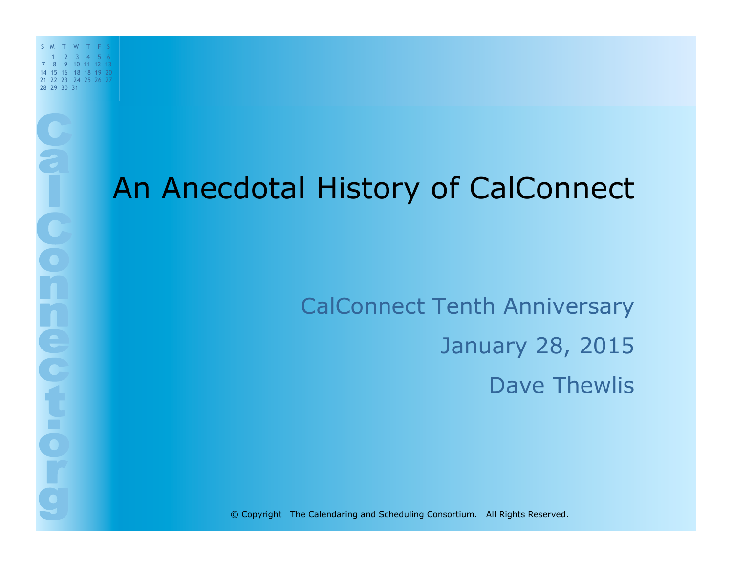E

COLLAND-DOC

# An Anecdotal History of CalConnect

CalConnect Tenth Anniversary January 28, 2015 Dave Thewlis

© Copyright The Calendaring and Scheduling Consortium. All Rights Reserved.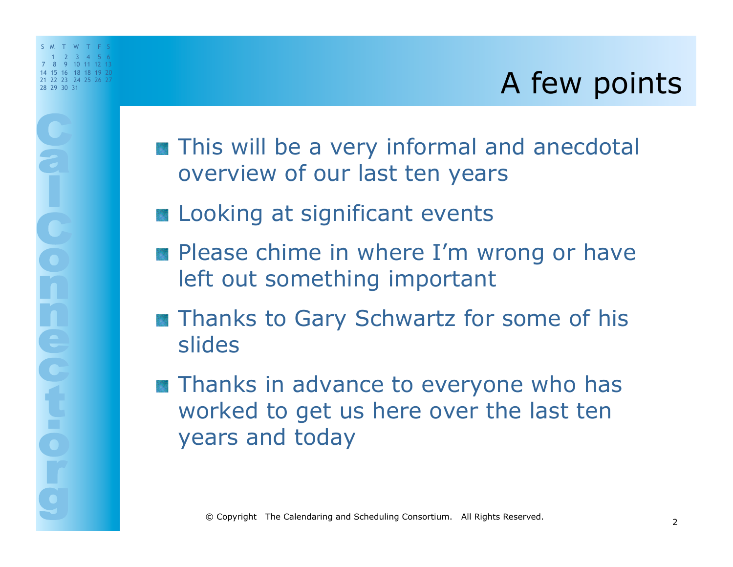- **This will be a very informal and anecdotal** overview of our last ten years
- **Example 21 Significant events**
- **Please chime in where I'm wrong or have** left out something important
- **Thanks to Gary Schwartz for some of his** slides
- **Thanks in advance to everyone who has** worked to get us here over the last ten years and today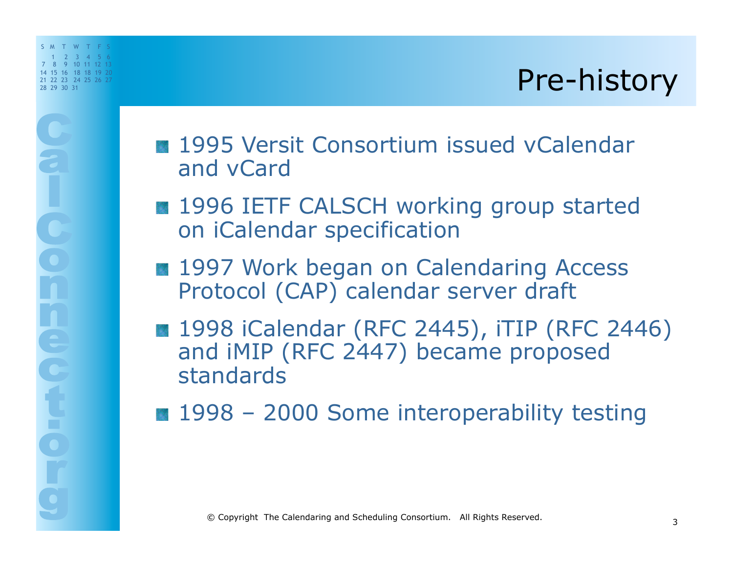## Pre-history

COOD

- **1995 Versit Consortium issued vCalendar** and vCard
- **1996 IETF CALSCH working group started** on iCalendar specification
- 1997 Work began on Calendaring Access Protocol (CAP) calendar server draft
- 1998 iCalendar (RFC 2445), iTIP (RFC 2446) and iMIP (RFC 2447) became proposed standards
- **1998 2000 Some interoperability testing**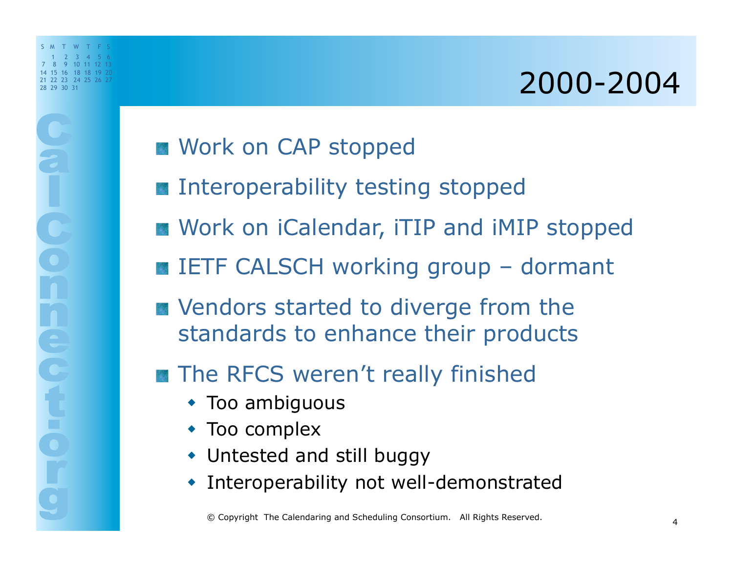## 2000-2004

S M T W T F S 1 2 3 4 5 6 7 8 9 10 11 12 13 14 15 16 18 18 19 20 21 22 23 24 25 26 27 28 29 30 31

- **M** Work on CAP stopped
- **Interoperability testing stopped**
- **M** Work on iCalendar, iTIP and iMIP stopped
- **BETHE CALSCH working group dormant**
- **Example 21 Vendors started to diverge from the** standards to enhance their products
- **The RFCS weren't really finished** 
	- **\*** Too ambiguous
	- Too complex
	- Untested and still buggy
	- **Interoperability not well-demonstrated**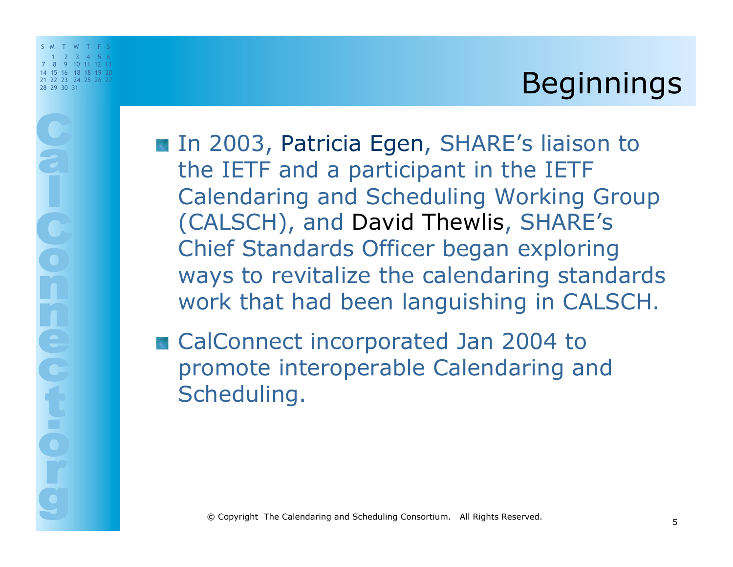## $B$ eginnings

■ In 2003, Patricia Egen, SHARE's liaison to the IETF and a participant in the IETF Calendaring and Scheduling Working Group (CALSCH), and David Thewlis, SHARE's Chief Standards Officer began exploring ways to revitalize the calendaring standards work that had been languishing in CALSCH.

S M T W T F S 1 2 3 4 5 6 7 8 9 10 11 12 13 14 15 16 18 18 19 20 21 22 23 24 25 26 27

**SOLTOIR** 

■ CalConnect incorporated Jan 2004 to promote interoperable Calendaring and Scheduling.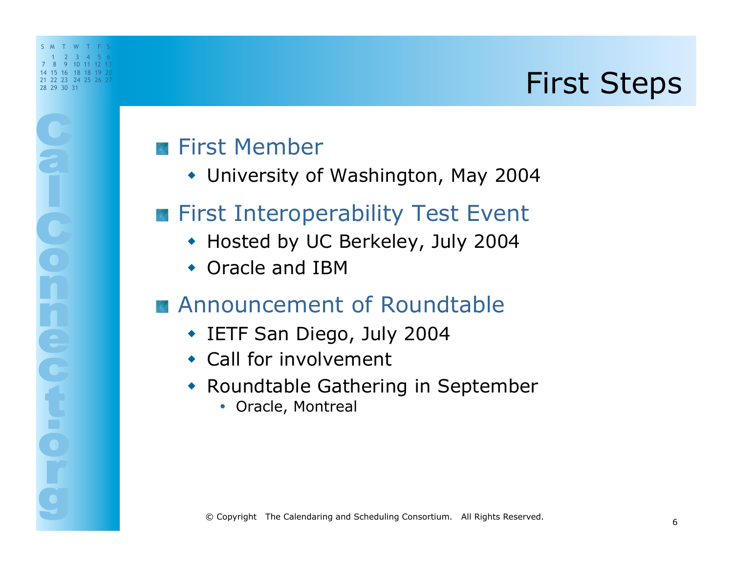## $\frac{28}{28}$   $\frac{28}{28}$   $\frac{28}{28}$   $\frac{28}{28}$   $\frac{28}{28}$   $\frac{28}{28}$   $\frac{28}{28}$   $\frac{28}{28}$   $\frac{28}{28}$   $\frac{28}{28}$   $\frac{28}{28}$   $\frac{28}{28}$   $\frac{28}{28}$   $\frac{28}{28}$   $\frac{28}{28}$   $\frac{28}{28}$   $\frac{28}{28}$   $\frac{28}{28}$   $\frac{2$

#### **First Member**

S M T W T F S 1 2 3 4 5 6 7 8 9 10 11 12 13 14 15 16 18 18 19 20 21 22 23 24 25 26 27

COLLOCTOR

• University of Washington, May 2004

#### **First Interoperability Test Event**

- ! Hosted by UC Berkeley, July 2004
- Oracle and IBM

#### Announcement of Roundtable

- ! IETF San Diego, July 2004
- Call for involvement
- Roundtable Gathering in September
	- Oracle, Montreal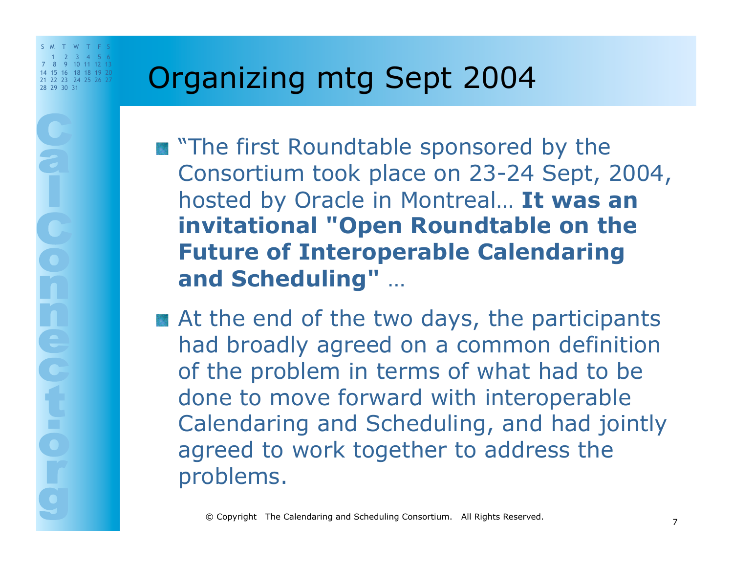**ROLLOUS** 

# $\frac{14}{24}$   $\frac{15}{28}$   $\frac{16}{28}$   $\frac{18}{28}$   $\frac{19}{28}$   $\frac{20}{24}$   $\blacksquare$  Organizing mtg Sept 2004

- **The first Roundtable sponsored by the** Consortium took place on 23-24 Sept, 2004, hosted by Oracle in Montreal… **It was an invitational "Open Roundtable on the Future of Interoperable Calendaring and Scheduling"** …
- At the end of the two days, the participants had broadly agreed on a common definition of the problem in terms of what had to be done to move forward with interoperable Calendaring and Scheduling, and had jointly agreed to work together to address the problems.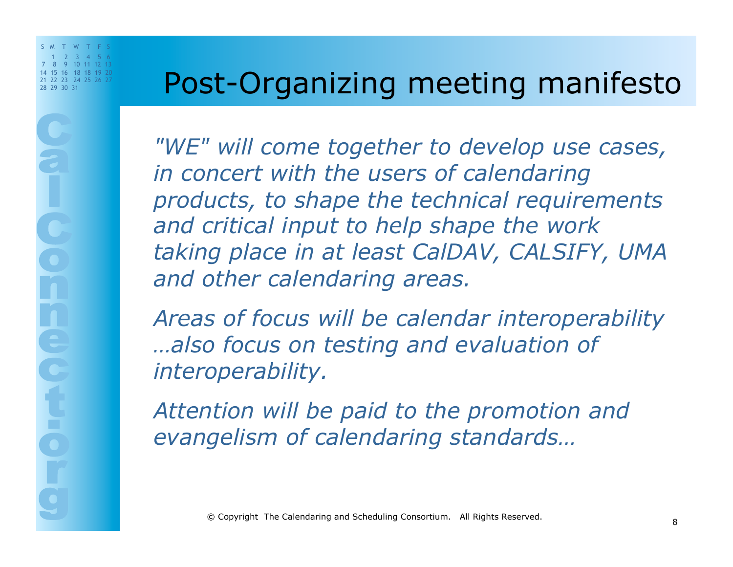# Post-Organizing meeting manifesto

*"WE" will come together to develop use cases, in concert with the users of calendaring products, to shape the technical requirements and critical input to help shape the work taking place in at least CalDAV, CALSIFY, UMA and other calendaring areas.* 

*Areas of focus will be calendar interoperability …also focus on testing and evaluation of interoperability.* 

*Attention will be paid to the promotion and evangelism of calendaring standards…*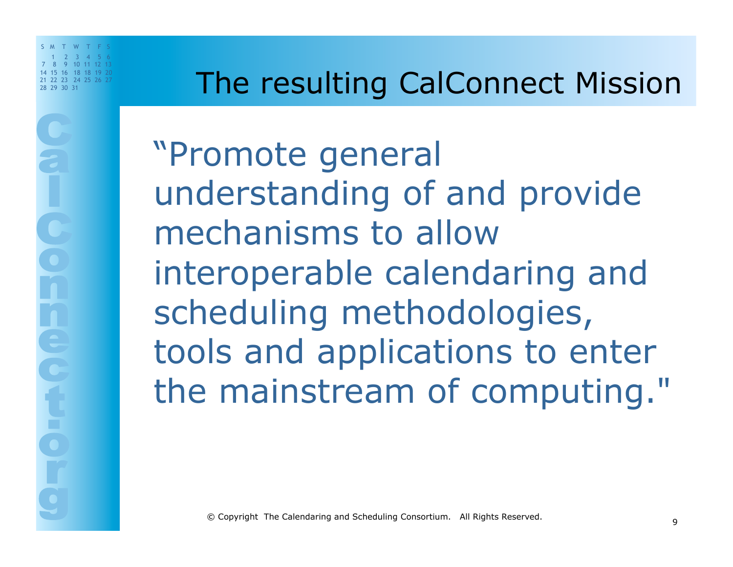**COND** 

## 21 23 24 25 24 25 24 25 24 25 24 25 24 25 24 25 24 25 24 25 24 25 26 27

"Promote general understanding of and provide mechanisms to allow interoperable calendaring and scheduling methodologies, tools and applications to enter the mainstream of computing."

© Copyright The Calendaring and Scheduling Consortium. All Rights Reserved. 9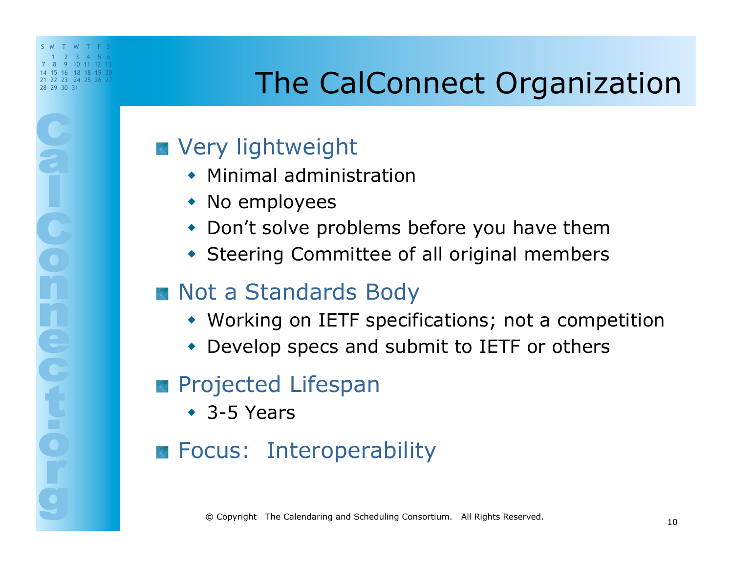**ROLLOUS** 

# 28 29 30 31 The CalConnect Organization

## **EX** Very lightweight

- $\bullet$  Minimal administration
- No employees
- Don't solve problems before you have them
- Steering Committee of all original members

#### **Not a Standards Body**

- Working on IETF specifications; not a competition
- ! Develop specs and submit to IETF or others

### **Projected Lifespan**

 $\cdot$  3-5 Years

## **Focus: Interoperability**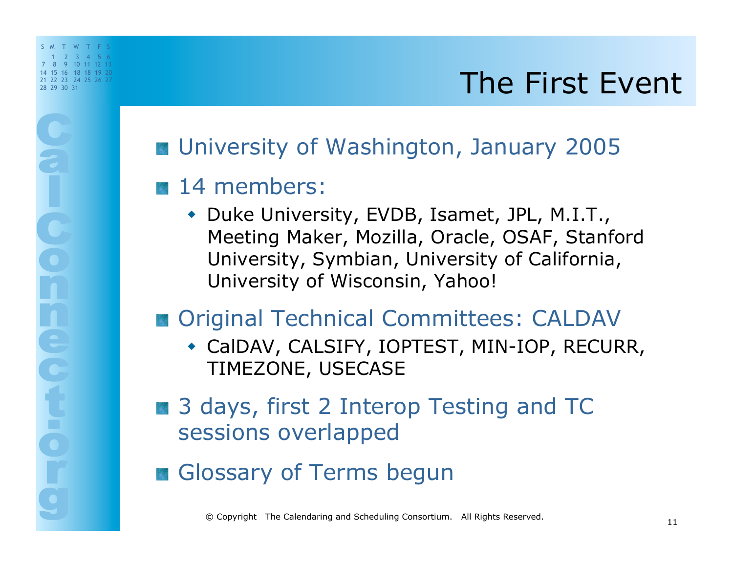## $\frac{28}{28}$   $\frac{28}{28}$   $\frac{28}{28}$   $\frac{28}{28}$   $\frac{28}{28}$   $\frac{28}{28}$   $\frac{28}{28}$   $\frac{28}{28}$   $\frac{28}{28}$   $\frac{28}{28}$   $\frac{28}{28}$   $\frac{28}{28}$   $\frac{28}{28}$   $\frac{28}{28}$   $\frac{28}{28}$   $\frac{28}{28}$   $\frac{28}{28}$   $\frac{28}{28}$   $\frac{2$

## **B** University of Washington, January 2005

#### 14 members:

S M T W T F S  $2<sup>3</sup>$  7 8 9 10 11 12 13 14 15 16 18 18 19 20 21 22 23 24 25 26 27

ROLLOUS

• Duke University, EVDB, Isamet, JPL, M.I.T., Meeting Maker, Mozilla, Oracle, OSAF, Stanford University, Symbian, University of California, University of Wisconsin, Yahoo!

### **B** Original Technical Committees: CALDAV

- ! CalDAV, CALSIFY, IOPTEST, MIN-IOP, RECURR, TIMEZONE, USECASE
- **3 days, first 2 Interop Testing and TC** sessions overlapped
- **B** Glossary of Terms begun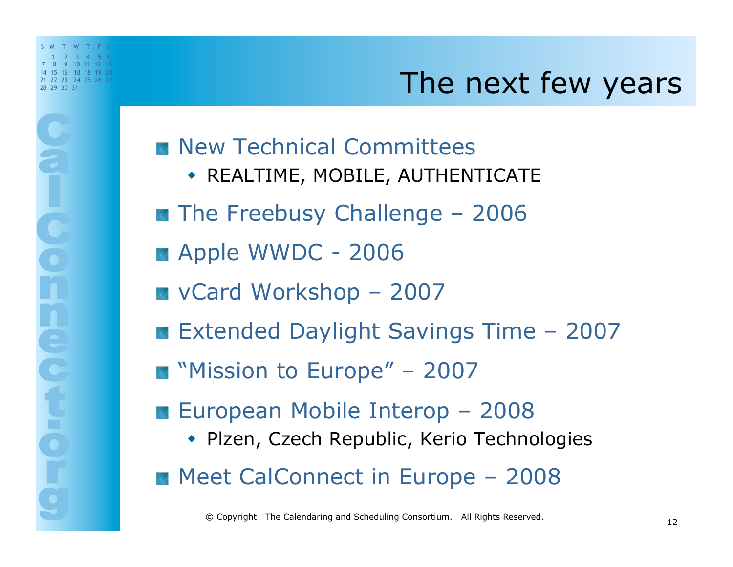ROLLOUS

## $\frac{1}{28}$   $\frac{1}{28}$   $\frac{18}{28}$   $\frac{18}{28}$   $\frac{18}{28}$   $\frac{18}{28}$   $\frac{18}{28}$   $\frac{18}{28}$   $\frac{18}{28}$   $\frac{18}{28}$   $\frac{18}{28}$   $\frac{18}{28}$   $\frac{18}{28}$   $\frac{18}{28}$   $\frac{18}{28}$   $\frac{18}{28}$   $\frac{18}{28}$   $\frac{18}{28}$   $\frac{18}{$

- **New Technical Committees** 
	- **\* REALTIME, MOBILE, AUTHENTICATE**
- **The Freebusy Challenge 2006**
- **Apple WWDC 2006**
- vCard Workshop 2007
- **Extended Daylight Savings Time 2007**
- **MISSION to Europe" 2007**
- **European Mobile Interop 2008** 
	- Plzen, Czech Republic, Kerio Technologies

**Meet CalConnect in Europe - 2008**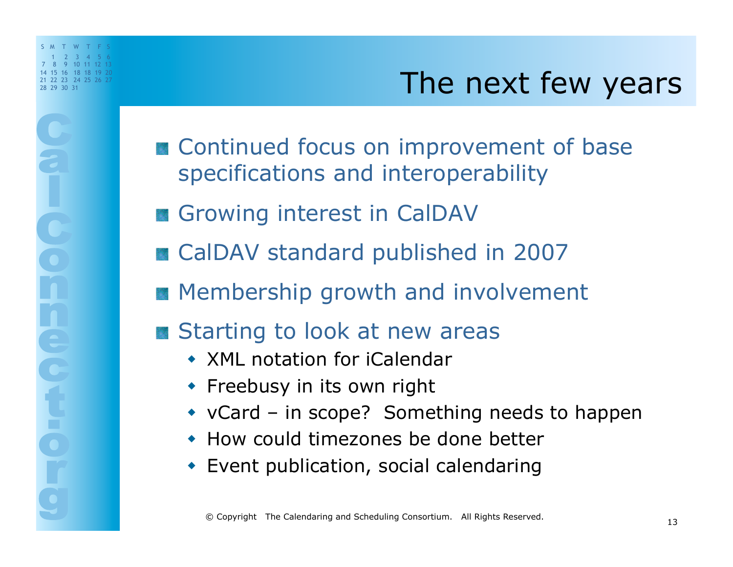**ROLLOUS** 

# $\frac{28}{28}$   $\frac{28}{28}$   $\frac{28}{28}$   $\frac{28}{28}$   $\frac{28}{28}$   $\frac{28}{28}$   $\frac{28}{28}$   $\frac{28}{28}$   $\frac{28}{28}$   $\frac{28}{28}$   $\frac{28}{28}$   $\frac{29}{28}$   $\frac{20}{28}$   $\frac{20}{28}$   $\frac{20}{28}$   $\frac{20}{28}$   $\frac{20}{28}$   $\frac{20}{28}$   $\frac{2$

- **B** Continued focus on improvement of base specifications and interoperability
- Growing interest in CalDAV
- CalDAV standard published in 2007
- **Membership growth and involvement**
- Starting to look at new areas
	- XML notation for iCalendar
	- **•** Freebusy in its own right
	- $\bullet$  vCard in scope? Something needs to happen
	- $\bullet$  How could timezones be done better
	- ! Event publication, social calendaring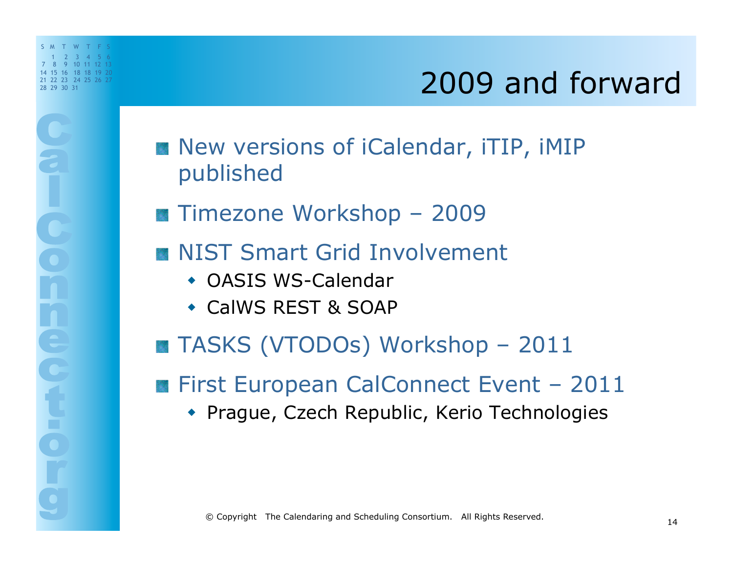**COOP** 

## $2009$  and forward

- **New versions of iCalendar, iTIP, iMIP** published
- **Timezone Workshop 2009**
- **NIST Smart Grid Involvement** 
	- OASIS WS-Calendar
	- ! CalWS REST & SOAP

**TASKS (VTODOs) Workshop - 2011** 

**First European CalConnect Event - 2011** 

• Prague, Czech Republic, Kerio Technologies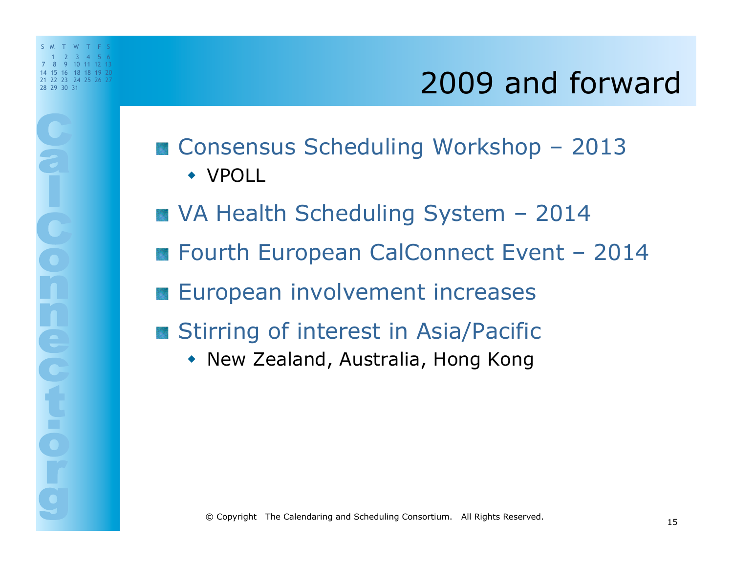■ Consensus Scheduling Workshop - 2013 ! VPOLL

- **M** VA Health Scheduling System 2014
- **Fourth European CalConnect Event 2014**

**European involvement increases** 

S M T W T F S 1 2 3 4 5 6 7 8 9 10 11 12 13 14 15 16 18 18 19 20 21 22 23 24 25 26 27

ROLLOUS

**Stirring of interest in Asia/Pacific** 

• New Zealand, Australia, Hong Kong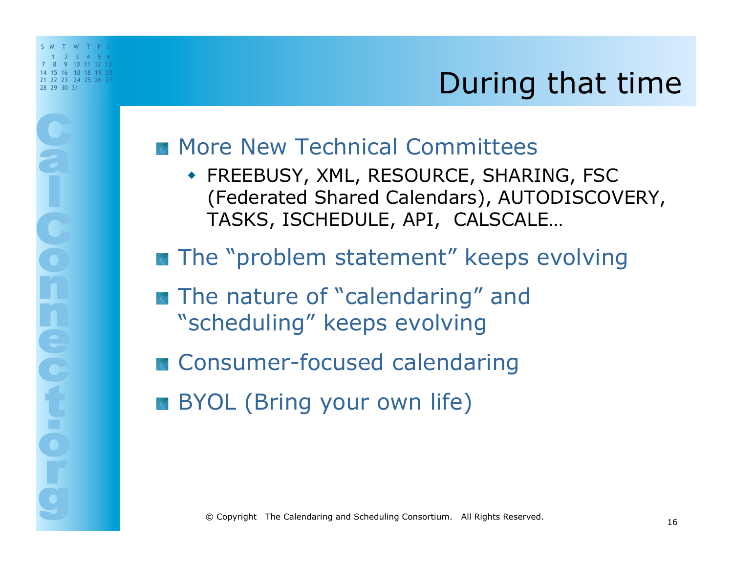# $\sum_{\substack{24,22,23,24,25,26,27 \ n \equiv 30 \pmod{3}}}$

#### **More New Technical Committees**

S M T W T F S 1 2 3 4 5 6 7 8 9 10 11 12 14 15 16 18 18 19 20 21 22 23 24 25 26 27

**ROLLOUD** 

- ! FREEBUSY, XML, RESOURCE, SHARING, FSC (Federated Shared Calendars), AUTODISCOVERY, TASKS, ISCHEDULE, API, CALSCALE…
- **The "problem statement" keeps evolving**
- **The nature of "calendaring" and** "scheduling" keeps evolving
- **B** Consumer-focused calendaring
- **BYOL (Bring your own life)**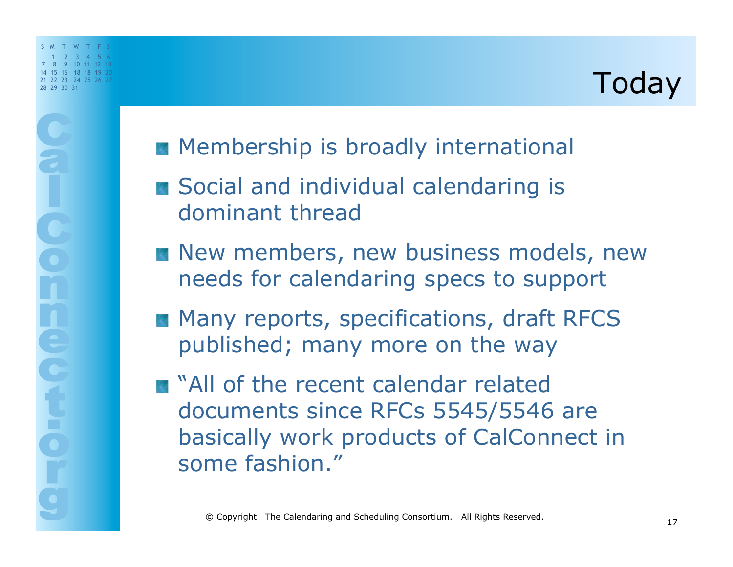ROLLOUD

- **Membership is broadly international**
- Social and individual calendaring is dominant thread
- New members, new business models, new needs for calendaring specs to support
- **Many reports, specifications, draft RFCS** published; many more on the way
- **M** "All of the recent calendar related documents since RFCs 5545/5546 are basically work products of CalConnect in some fashion."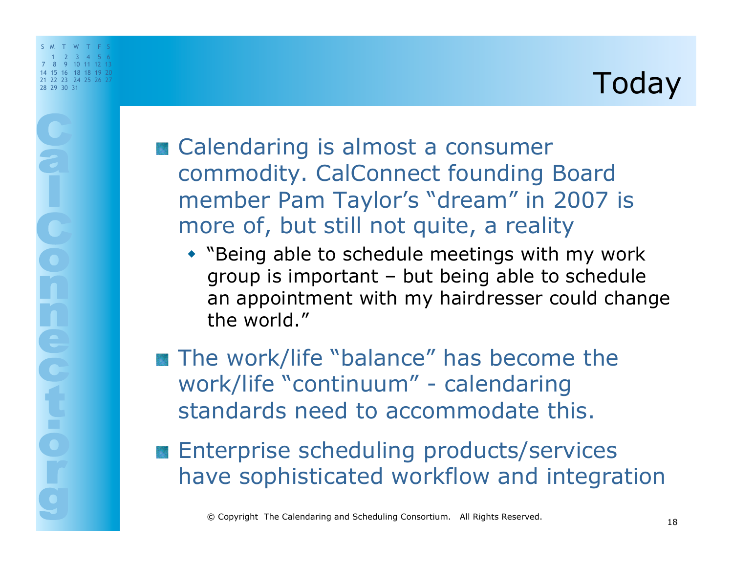# $\sum_{\frac{24}{28},\frac{28}{29},\frac{30}{34},\frac{38}{34}}$  and  $\sum_{\frac{28}{28},\frac{28}{30},\frac{31}{34}}$  and  $\sum_{\frac{28}{28},\frac{28}{30},\frac{31}{34}}$  and  $\sum_{\frac{28}{28},\frac{28}{30},\frac{28}{34}}$

ROLLOUD

S M T W T F S 1 2 3 4 5 6 7 8 9 10 11 12 13 14 15 16 18 18 19 20 21 22 23 24 25 26 27

> **■ Calendaring is almost a consumer** commodity. CalConnect founding Board member Pam Taylor's "dream" in 2007 is more of, but still not quite, a reality

- "Being able to schedule meetings with my work group is important – but being able to schedule an appointment with my hairdresser could change the world."
- **The work/life "balance" has become the** work/life "continuum" - calendaring standards need to accommodate this.
- **Enterprise scheduling products/services** have sophisticated workflow and integration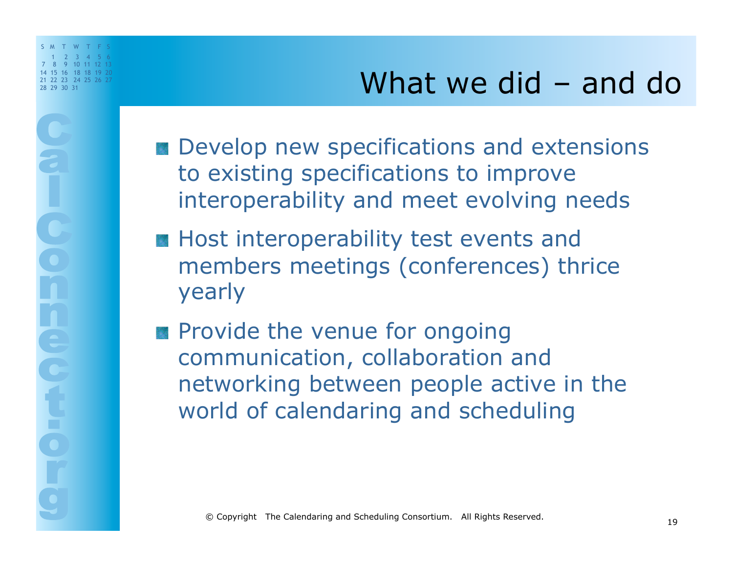## $\frac{28}{28}$   $\frac{28}{28}$   $\frac{28}{28}$   $\frac{28}{28}$   $\frac{28}{28}$   $\frac{28}{28}$   $\frac{28}{28}$   $\frac{28}{28}$   $\frac{29}{28}$   $\frac{20}{28}$   $\frac{20}{28}$   $\frac{20}{28}$   $\frac{20}{28}$   $\frac{20}{28}$   $\frac{20}{28}$   $\frac{20}{28}$   $\frac{20}{28}$   $\frac{20}{28}$   $\frac{2$

**B** Develop new specifications and extensions to existing specifications to improve interoperability and meet evolving needs

S M T W T F S 1 2 3 4 5 6 7 8 9 10 11 12 13 14 15 16 18 18 19 20 21 22 23 24 25 26 27

**ROLLONS** 

**Host interoperability test events and** members meetings (conferences) thrice yearly

**Provide the venue for ongoing** communication, collaboration and networking between people active in the world of calendaring and scheduling